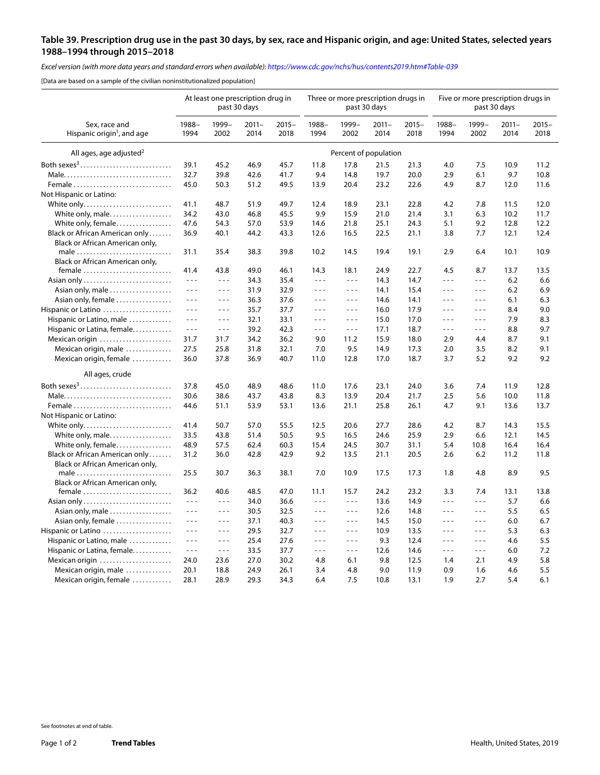## **Table 39. Prescription drug use in the past 30 days, by sex, race and Hispanic origin, and age: United States, selected years 1988–1994 through 2015–2018**

*Excel version (with more data years and standard errors when available):<https://www.cdc.gov/nchs/hus/contents2019.htm#Table-039>*

[Data are based on a sample of the civilian noninstitutionalized population]

| Sex, race and<br>Hispanic origin <sup>1</sup> , and age | At least one prescription drug in<br>past 30 days |                      |                  |                  |                      | Three or more prescription drugs in | past 30 days     |                  | Five or more prescription drugs in<br>past 30 days |               |                  |                  |
|---------------------------------------------------------|---------------------------------------------------|----------------------|------------------|------------------|----------------------|-------------------------------------|------------------|------------------|----------------------------------------------------|---------------|------------------|------------------|
|                                                         | 1988-<br>1994                                     | 1999-<br>2002        | $2011 -$<br>2014 | $2015 -$<br>2018 | 1988-<br>1994        | 1999-<br>2002                       | $2011 -$<br>2014 | $2015 -$<br>2018 | 1988-<br>1994                                      | 1999-<br>2002 | $2011 -$<br>2014 | $2015 -$<br>2018 |
| All ages, age adjusted <sup>2</sup>                     | Percent of population                             |                      |                  |                  |                      |                                     |                  |                  |                                                    |               |                  |                  |
| Both sexes <sup>3</sup>                                 | 39.1                                              | 45.2                 | 46.9             | 45.7             | 11.8                 | 17.8                                | 21.5             | 21.3             | 4.0                                                | 7.5           | 10.9             | 11.2             |
| Male                                                    | 32.7                                              | 39.8                 | 42.6             | 41.7             | 9.4                  | 14.8                                | 19.7             | 20.0             | 2.9                                                | 6.1           | 9.7              | 10.8             |
| Female                                                  | 45.0                                              | 50.3                 | 51.2             | 49.5             | 13.9                 | 20.4                                | 23.2             | 22.6             | 4.9                                                | 8.7           | 12.0             | 11.6             |
| Not Hispanic or Latino:                                 |                                                   |                      |                  |                  |                      |                                     |                  |                  |                                                    |               |                  |                  |
| White only                                              | 41.1                                              | 48.7                 | 51.9             | 49.7             | 12.4                 | 18.9                                | 23.1             | 22.8             | 4.2                                                | 7.8           | 11.5             | 12.0             |
| White only, male                                        | 34.2                                              | 43.0                 | 46.8             | 45.5             | 9.9                  | 15.9                                | 21.0             | 21.4             | 3.1                                                | 6.3           | 10.2             | 11.7             |
| White only, female                                      | 47.6                                              | 54.3                 | 57.0             | 53.9             | 14.6                 | 21.8                                | 25.1             | 24.3             | 5.1                                                | 9.2           | 12.8             | 12.2             |
| Black or African American only                          | 36.9                                              | 40.1                 | 44.2             | 43.3             | 12.6                 | 16.5                                | 22.5             | 21.1             | 3.8                                                | 7.7           | 12.1             | 12.4             |
| Black or African American only,                         |                                                   |                      |                  |                  |                      |                                     |                  |                  |                                                    |               |                  |                  |
| male                                                    | 31.1                                              | 35.4                 | 38.3             | 39.8             | 10.2                 | 14.5                                | 19.4             | 19.1             | 2.9                                                | 6.4           | 10.1             | 10.9             |
| Black or African American only,                         |                                                   |                      |                  |                  |                      |                                     |                  |                  |                                                    |               |                  |                  |
| $f$ emale                                               | 41.4                                              | 43.8                 | 49.0             | 46.1             | 14.3                 | 18.1                                | 24.9             | 22.7             | 4.5                                                | 8.7           | 13.7             | 13.5             |
|                                                         | $\sim$ $\sim$ $\sim$                              | $\sim$ $\sim$ $\sim$ | 34.3             | 35.4             | $\sim$ $\sim$ $\sim$ | $\sim$ $\sim$ $\sim$                | 14.3             | 14.7             | $\sim$ $\sim$ $\sim$                               | - - -         | 6.2              | 6.6              |
| Asian only, male                                        | $\sim$ $\sim$ $\sim$                              | $\sim$ $ \sim$       | 31.9             | 32.9             | $\sim$ $\sim$ $\sim$ | $\sim$ $\sim$ $\sim$                | 14.1             | 15.4             | $\sim$ $\sim$ $\sim$                               | - - -         | 6.2              | 6.9              |
| Asian only, female                                      | $\sim$ $\sim$ $\sim$                              | $- - -$              | 36.3             | 37.6             | $\sim$ $\sim$ $\sim$ | $- - -$                             | 14.6             | 14.1             | $\sim$ $\sim$ $\sim$                               | $- - -$       | 6.1              | 6.3              |
| Hispanic or Latino                                      | $\sim$ $\sim$ $\sim$                              | $- - -$              | 35.7             | 37.7             | $\sim$ $\sim$ $\sim$ | $\sim$ $\sim$                       | 16.0             | 17.9             | $\sim$ $\sim$ $\sim$                               | $\sim$ $\sim$ | 8.4              | 9.0              |
| Hispanic or Latino, male                                | $\sim$ $\sim$ $\sim$                              | $- - -$              | 32.1             | 33.1             | $\sim$ $\sim$ $\sim$ | $- - -$                             | 15.0             | 17.0             | $- - -$                                            | $- - -$       | 7.9              | 8.3              |
| Hispanic or Latina, female                              | $\sim$ $\sim$ $\sim$                              | $\sim$ $\sim$ $\sim$ | 39.2             | 42.3             | $\sim$ $\sim$ $\sim$ | $- - -$                             | 17.1             | 18.7             | $- - -$                                            | $- - -$       | 8.8              | 9.7              |
| Mexican origin                                          | 31.7                                              | 31.7                 | 34.2             | 36.2             | 9.0                  | 11.2                                | 15.9             | 18.0             | 2.9                                                | 4.4           | 8.7              | 9.1              |
| Mexican origin, male                                    | 27.5                                              | 25.8                 | 31.8             | 32.1             | 7.0                  | 9.5                                 | 14.9             | 17.3             | 2.0                                                | 3.5           | 8.2              | 9.1              |
| Mexican origin, female                                  | 36.0                                              | 37.8                 | 36.9             | 40.7             | 11.0                 | 12.8                                | 17.0             | 18.7             | 3.7                                                | 5.2           | 9.2              | 9.2              |
| All ages, crude                                         |                                                   |                      |                  |                  |                      |                                     |                  |                  |                                                    |               |                  |                  |
|                                                         | 37.8                                              | 45.0                 | 48.9             | 48.6             |                      |                                     |                  |                  |                                                    | 7.4           |                  |                  |
| Both sexes <sup>3</sup>                                 |                                                   |                      |                  |                  | 11.0                 | 17.6                                | 23.1             | 24.0             | 3.6                                                |               | 11.9             | 12.8             |
| Male                                                    | 30.6                                              | 38.6                 | 43.7             | 43.8             | 8.3                  | 13.9                                | 20.4             | 21.7             | 2.5                                                | 5.6           | 10.0             | 11.8             |
| Female<br>Not Hispanic or Latino:                       | 44.6                                              | 51.1                 | 53.9             | 53.1             | 13.6                 | 21.1                                | 25.8             | 26.1             | 4.7                                                | 9.1           | 13.6             | 13.7             |
| White only                                              | 41.4                                              | 50.7                 | 57.0             | 55.5             | 12.5                 | 20.6                                | 27.7             | 28.6             | 4.2                                                | 8.7           | 14.3             | 15.5             |
| White only, male                                        | 33.5                                              | 43.8                 | 51.4             | 50.5             | 9.5                  | 16.5                                | 24.6             | 25.9             | 2.9                                                | 6.6           | 12.1             | 14.5             |
| White only, female                                      | 48.9                                              | 57.5                 | 62.4             | 60.3             | 15.4                 | 24.5                                | 30.7             | 31.1             | 5.4                                                | 10.8          | 16.4             | 16.4             |
| Black or African American only                          | 31.2                                              | 36.0                 | 42.8             | 42.9             | 9.2                  | 13.5                                | 21.1             | 20.5             | 2.6                                                | 6.2           | 11.2             | 11.8             |
| Black or African American only,                         |                                                   |                      |                  |                  |                      |                                     |                  |                  |                                                    |               |                  |                  |
| male                                                    | 25.5                                              | 30.7                 | 36.3             | 38.1             | 7.0                  | 10.9                                | 17.5             | 17.3             | 1.8                                                | 4.8           | 8.9              | 9.5              |
| Black or African American only,                         |                                                   |                      |                  |                  |                      |                                     |                  |                  |                                                    |               |                  |                  |
| female                                                  | 36.2                                              | 40.6                 | 48.5             | 47.0             | 11.1                 | 15.7                                | 24.2             | 23.2             | 3.3                                                | 7.4           | 13.1             | 13.8             |
| Asian only                                              | $\sim$ $\sim$ $\sim$                              | $ -$                 | 34.0             | 36.6             | $\sim$ $\sim$ $\sim$ | $\sim$ $\sim$ $\sim$                | 13.6             | 14.9             | $\sim$ $\sim$                                      | - - -         | 5.7              | 6.6              |
| Asian only, male                                        | $\sim$ $\sim$ $\sim$                              | $- - -$              | 30.5             | 32.5             | $\sim$ $\sim$ $\sim$ | $ -$                                | 12.6             | 14.8             | $\sim$ $\sim$ $\sim$                               | - - -         | 5.5              | 6.5              |
| Asian only, female                                      | $\sim$ $\sim$ $\sim$                              | $- - -$              | 37.1             | 40.3             | $\sim$ $\sim$ $\sim$ | $- - -$                             | 14.5             | 15.0             | $\sim$ $\sim$ $\sim$                               | $- - -$       | 6.0              | 6.7              |
| Hispanic or Latino                                      | $\sim$ $\sim$ $\sim$                              | $- - -$              | 29.5             | 32.7             | $\sim$ $\sim$ $\sim$ | $- - -$                             | 10.9             | 13.5             | $\sim$ $\sim$ $\sim$                               | $- - -$       | 5.3              | 6.3              |
| Hispanic or Latino, male                                | $\sim$ $\sim$ $\sim$                              | $\sim$ $\sim$ $\sim$ | 25.4             | 27.6             | $\sim$ $\sim$ $\sim$ | $- - -$                             | 9.3              | 12.4             | $\sim$ $\sim$ $\sim$                               | $\ddotsc$     | 4.6              | 5.5              |
| Hispanic or Latina, female                              | $\sim$ $\sim$ $\sim$                              | $\sim$ $\sim$ $\sim$ | 33.5             | 37.7             | $\sim$ $\sim$ $\sim$ | $- - -$                             | 12.6             | 14.6             | $\sim$ $\sim$ $\sim$                               | $- - -$       | 6.0              | 7.2              |
| Mexican origin                                          | 24.0                                              | 23.6                 | 27.0             | 30.2             | 4.8                  | 6.1                                 | 9.8              | 12.5             | 1.4                                                | 2.1           | 4.9              | 5.8              |
| Mexican origin, male                                    | 20.1                                              | 18.8                 | 24.9             | 26.1             | 3.4                  | 4.8                                 | 9.0              | 11.9             | 0.9                                                | 1.6           | 4.6              | 5.5              |
| Mexican origin, female                                  | 28.1                                              | 28.9                 | 29.3             | 34.3             | 6.4                  | 7.5                                 | 10.8             | 13.1             | 1.9                                                | 2.7           | 5.4              | 6.1              |

See footnotes at end of table. See footnotes at end of table.